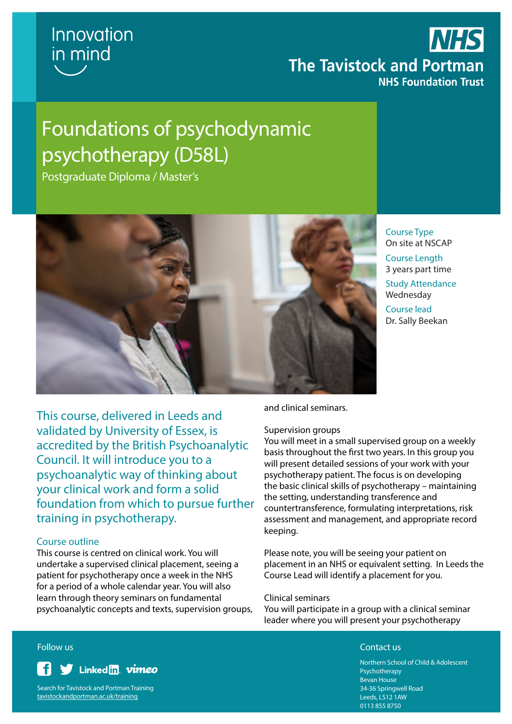

## **NHS The Tavistock and Portman NHS Foundation Trust**

## Foundations of psychodynamic psychotherapy (D58L)

Postgraduate Diploma / Master's



Course Type On site at NSCAP Course Length 3 years part time Study Attendance Wednesday Course lead

Dr. Sally Beekan

This course, delivered in Leeds and validated by University of Essex, is accredited by the British Psychoanalytic Council. It will introduce you to a psychoanalytic way of thinking about your clinical work and form a solid foundation from which to pursue further training in psychotherapy.

#### Course outline

This course is centred on clinical work. You will undertake a supervised clinical placement, seeing a patient for psychotherapy once a week in the NHS for a period of a whole calendar year. You will also learn through theory seminars on fundamental psychoanalytic concepts and texts, supervision groups, and clinical seminars.

#### Supervision groups

You will meet in a small supervised group on a weekly basis throughout the first two years. In this group you will present detailed sessions of your work with your psychotherapy patient. The focus is on developing the basic clinical skills of psychotherapy – maintaining the setting, understanding transference and countertransference, formulating interpretations, risk assessment and management, and appropriate record keeping.

Please note, you will be seeing your patient on placement in an NHS or equivalent setting. In Leeds the Course Lead will identify a placement for you.

#### Clinical seminars

You will participate in a group with a clinical seminar leader where you will present your psychotherapy

#### **Follow us** Contact us Contact use of the contact use of the contact use of the contact use  $\sim$



Search for Tavistock and Portman Training tavistockandportman.ac.uk/training

Northern School of Child & Adolescent Psychotherapy Bevan House 34-36 Springwell Road Leeds, LS12 1AW 0113 855 8750